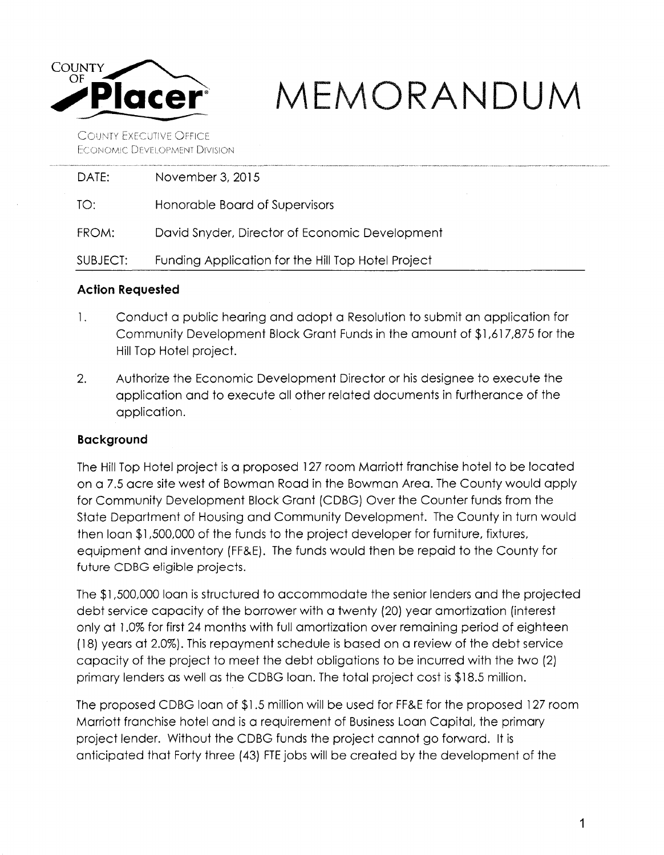

# $MEMORANDUM$

**COUNTY EXECUTIVE OFFICE ECONOMIC DEVELOPMENT DIVISION** 

| DATF:    | November 3, 2015                                   |
|----------|----------------------------------------------------|
| TO:      | Honorable Board of Supervisors                     |
| FROM:    | David Snyder, Director of Economic Development     |
| SUBJECT: | Funding Application for the Hill Top Hotel Project |
|          |                                                    |

## **Action Requested**

- 1. Conduct a public hearing and adopt a Resolution to submit an application for Community Development Block Grant Funds in the amount of \$1,617,875 for the Hill Top Hotel project.
- 2. Authorize the Economic Development Director or his designee to execute the application and to execute all other related documents in furtherance of the application.

# **Background**

The Hill Top Hotel project is a proposed 127 room Marriott franchise hotel to be located on a 7.5 acre site west of Bowman Road in the Bowman Area. The County would apply for Community Development Block Grant (CDBG) Over the Counter funds from the State Department of Housing and Community Development. The County in turn would then loan \$1,500,000 of the funds to the project developer for furniture, fixtures, equipment and inventory (FF&E). The funds would then be repaid to the County for future CDBG eligible projects.

The \$1,500,000 loan is structured to accommodate the senior lenders and the projected debt service capacity of the borrower with a twenty (20) year amortization (interest only at 1.0% for first 24 months with full amortization over remaining period of eighteen ( 18) years at 2.0%). This repayment schedule is based on a review of the debt service capacity of the project to meet the debt obligations to be incurred with the two (2) primary lenders as well as the CDBG loan. The total project cost is \$18.5 million.

The proposed CDBG loan of \$1 .5 million will be used for FF&E for the proposed 127 room Marriott franchise hotel and is a requirement of Business Loan Capital, the primary project lender. Without the CDBG funds the project cannot go forward. It is anticipated that Forty three (43) FTE jobs will be created by the development of the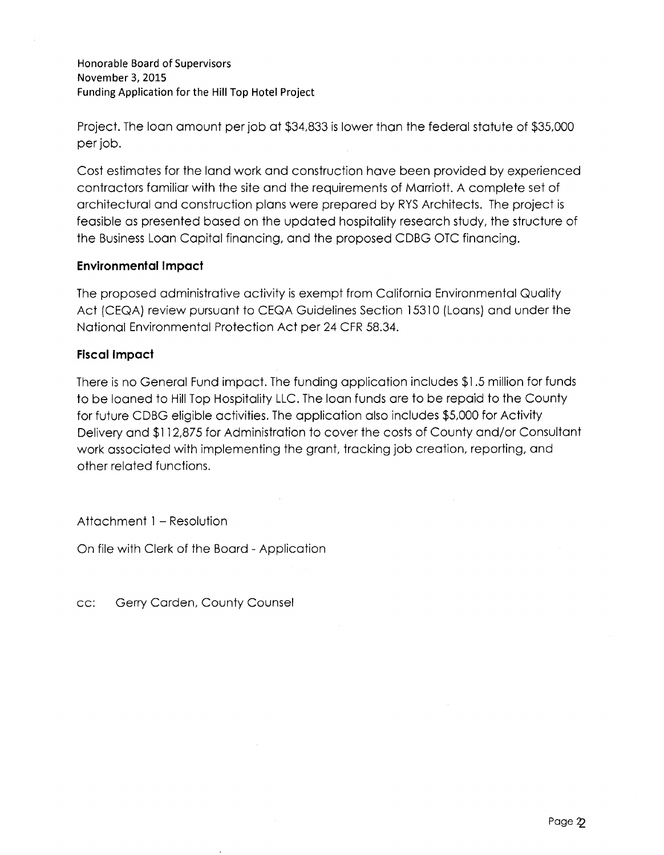Honorable Board of Supervisors November 3, 2015 Funding Application for the Hill Top Hotel Project

Project. The loan amount per job at \$34,833 is lower than the federal statute of \$35,000 per job.

Cost estimates for the land work and construction have been provided by experienced contractors familiar with the site and the requirements of Marriott. A complete set of architectural and construction plans were prepared by RYS Architects. The project is feasible as presented based on the updated hospitality research study, the structure of the Business Loan Capital financing, and the proposed CDBG OTC financing.

## **Environmental Impact**

The proposed administrative activity is exempt from California Environmental Quality Act (CEQA) review pursuant to CEQA Guidelines Section 15310 (Loans) and under the National Environmental Protection Act per 24 CFR 58.34.

## **Fiscal Impact**

There is no General Fund impact. The funding application includes \$1.5 million for funds to be loaned to Hill Top Hospitality LLC. The loan funds are to be repaid to the County for future CDBG eligible activities. The application also includes \$5,000 for Activity Delivery and \$112,875 for Administration to cover the costs of County and/or Consultant work associated with implementing the grant, tracking job creation, reporting, and other related functions.

Attachment 1 - Resolution

On file with Clerk of the Board - Application

cc: Gerry Carden, County Counsel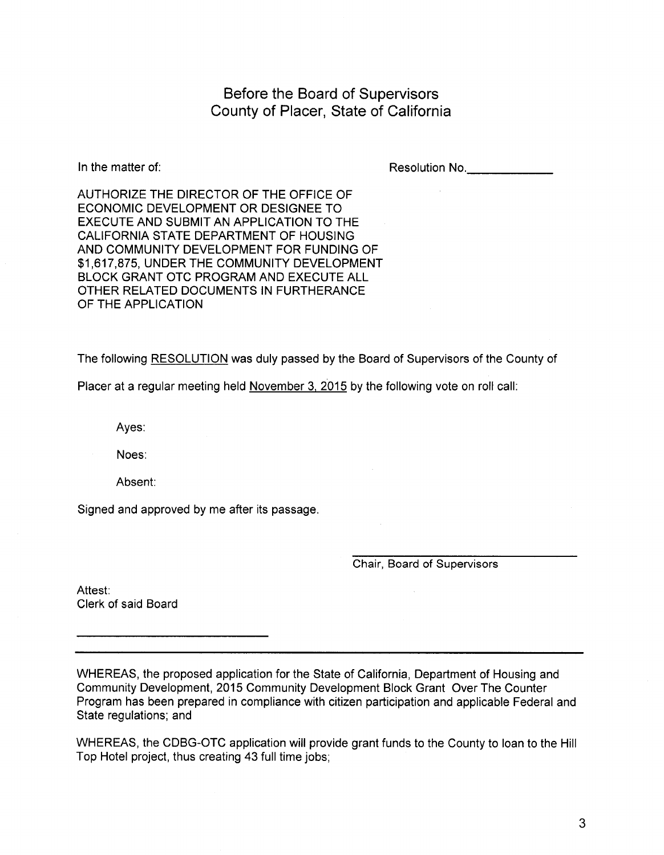Before the Board of Supervisors County of Placer, State of California

In the matter of:

Resolution No.

AUTHORIZE THE DIRECTOR OF THE OFFICE OF ECONOMIC DEVELOPMENT OR DESIGNEE TO EXECUTE AND SUBMIT AN APPLICATION TO THE CALIFORNIA STATE DEPARTMENT OF HOUSING AND COMMUNITY DEVELOPMENT FOR FUNDING OF \$1,617,875, UNDER THE COMMUNITY DEVELOPMENT BLOCK GRANT OTC PROGRAM AND EXECUTE ALL OTHER RELATED DOCUMENTS IN FURTHERANCE OF THE APPLICATION

The following RESOLUTION was duly passed by the Board of Supervisors of the County of

Placer at a regular meeting held November 3, 2015 by the following vote on roll call:

Ayes:

Noes:

Absent:

Signed and approved by me after its passage.

Chair, Board of Supervisors

Attest: Clerk of said Board

WHEREAS, the proposed application for the State of California, Department of Housing and Community Development, 2015 Community Development Block Grant Over The Counter Program has been prepared in compliance with citizen participation and applicable Federal and State regulations; and

WHEREAS, the CDBG-OTC application will provide grant funds to the County to loan to the Hill Top Hotel project, thus creating 43 full time jobs;